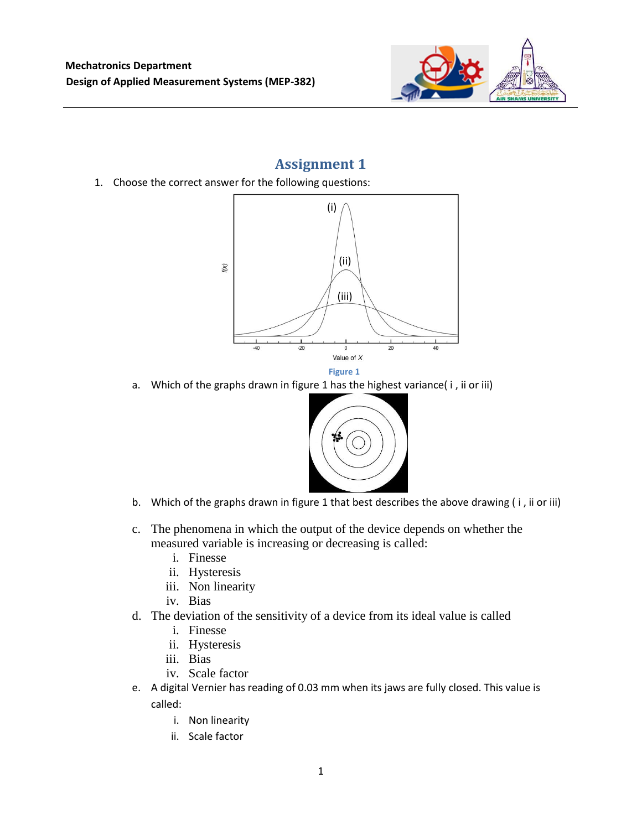

## **Assignment 1**

1. Choose the correct answer for the following questions:



a. Which of the graphs drawn in figure 1 has the highest variance( i , ii or iii)



- b. Which of the graphs drawn in figure 1 that best describes the above drawing ( i , ii or iii)
- c. The phenomena in which the output of the device depends on whether the measured variable is increasing or decreasing is called:
	- i. Finesse
	- ii. Hysteresis
	- iii. Non linearity
	- iv. Bias
- d. The deviation of the sensitivity of a device from its ideal value is called
	- i. Finesse
	- ii. Hysteresis
	- iii. Bias
	- iv. Scale factor
- e. A digital Vernier has reading of 0.03 mm when its jaws are fully closed. This value is called:
	- i. Non linearity
	- ii. Scale factor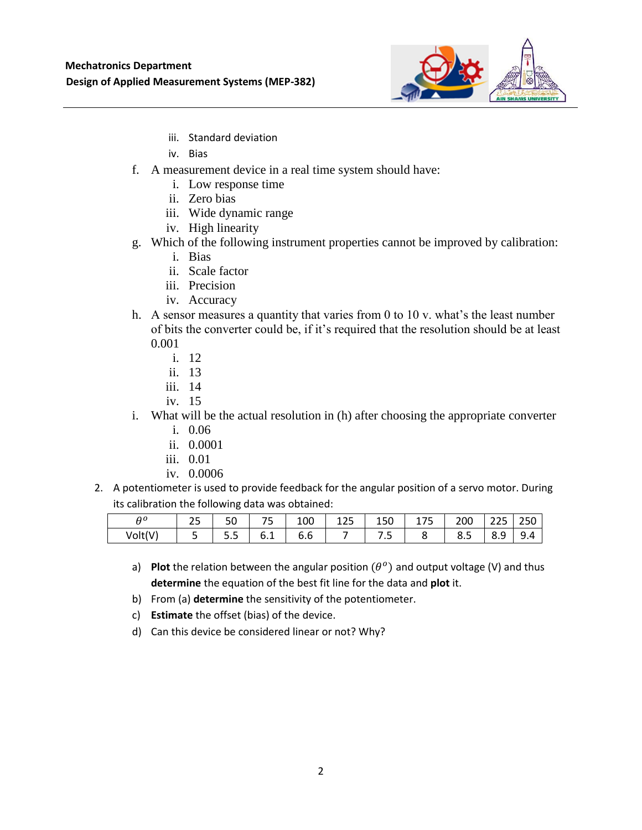

- iii. Standard deviation
- iv. Bias
- f. A measurement device in a real time system should have:
	- i. Low response time
	- ii. Zero bias
	- iii. Wide dynamic range
	- iv. High linearity
- g. Which of the following instrument properties cannot be improved by calibration:
	- i. Bias
	- ii. Scale factor
	- iii. Precision
	- iv. Accuracy
- h. A sensor measures a quantity that varies from 0 to 10 v. what's the least number of bits the converter could be, if it's required that the resolution should be at least 0.001
	- i. 12
	- ii. 13
	- iii. 14
	- iv. 15
- i. What will be the actual resolution in (h) after choosing the appropriate converter
	- i. 0.06
	- ii. 0.0001
	- iii. 0.01
	- iv. 0.0006
- 2. A potentiometer is used to provide feedback for the angular position of a servo motor. During its calibration the following data was obtained:

| ۵٥     | ت | υc    | --<br>$\tilde{\phantom{a}}$ | 100                             | つに<br>ᅩᄼ | 150 | $- -$<br>.<br>۔ | 200 | $\sim$<br>$\overline{\phantom{a}}$<br>ر ے ے | 250 |
|--------|---|-------|-----------------------------|---------------------------------|----------|-----|-----------------|-----|---------------------------------------------|-----|
| Volt(V |   | -<br> | ◡.⊥                         | $\overline{\phantom{a}}$<br>b.b |          | . . |                 | ပ.၂ | ີ<br>0.J                                    | 9.4 |

- a) Plot the relation between the angular position  $(\theta^o)$  and output voltage (V) and thus **determine** the equation of the best fit line for the data and **plot** it.
- b) From (a) **determine** the sensitivity of the potentiometer.
- c) **Estimate** the offset (bias) of the device.
- d) Can this device be considered linear or not? Why?